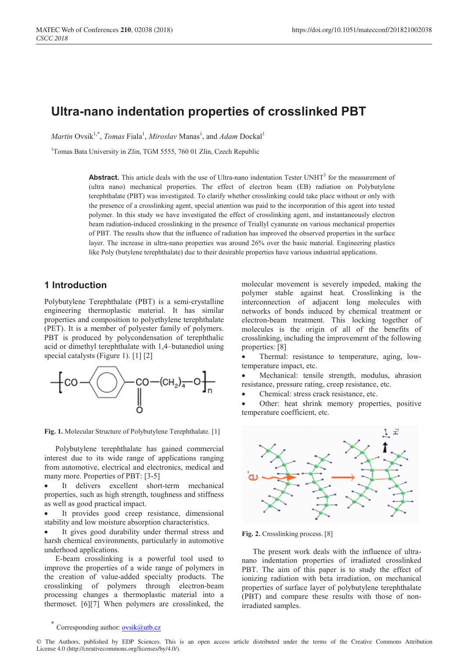# **Ultra-nano indentation properties of crosslinked PBT**

*Martin* Ovsik<sup>1,\*</sup>, *Tomas* Fiala<sup>1</sup>, *Miroslav* Manas<sup>1</sup>, and *Adam* Dockal<sup>1</sup>

<sup>1</sup>Tomas Bata University in Zlin, TGM 5555, 760 01 Zlin, Czech Republic

Abstract. This article deals with the use of Ultra-nano indentation Tester UNHT<sup>3</sup> for the measurement of (ultra nano) mechanical properties. The effect of electron beam (EB) radiation on Polybutylene terephthalate (PBT) was investigated. To clarify whether crosslinking could take place without or only with the presence of a crosslinking agent, special attention was paid to the incorporation of this agent into tested polymer. In this study we have investigated the effect of crosslinking agent, and instantaneously electron beam radiation-induced crosslinking in the presence of Triallyl cyanurate on various mechanical properties of PBT. The results show that the influence of radiation has improved the observed properties in the surface layer. The increase in ultra-nano properties was around 26% over the basic material. Engineering plastics like Poly (butylene terephthalate) due to their desirable properties have various industrial applications.

#### **1 Introduction**

Polybutylene Terephthalate (PBT) is a semi-crystalline engineering thermoplastic material. It has similar properties and composition to polyethylene terephthalate (PET). It is a member of polyester family of polymers. PBT is produced by polycondensation of terephthalic acid or dimethyl terephthalate with 1,4–butanediol using special catalysts (Figure 1). [1] [2]



**Fig. 1.** Molecular Structure of Polybutylene Terephthalate. [1]

Polybutylene terephthalate has gained commercial interest due to its wide range of applications ranging from automotive, electrical and electronics, medical and many more. Properties of PBT: [3-5]

It delivers excellent short-term mechanical properties, such as high strength, toughness and stiffness as well as good practical impact.

It provides good creep resistance, dimensional stability and low moisture absorption characteristics.

It gives good durability under thermal stress and harsh chemical environments, particularly in automotive underhood applications.

E-beam crosslinking is a powerful tool used to improve the properties of a wide range of polymers in the creation of value-added specialty products. The crosslinking of polymers through electron-beam processing changes a thermoplastic material into a thermoset. [6][7] When polymers are crosslinked, the

molecular movement is severely impeded, making the polymer stable against heat. Crosslinking is the interconnection of adjacent long molecules with networks of bonds induced by chemical treatment or electron-beam treatment. This locking together of molecules is the origin of all of the benefits of crosslinking, including the improvement of the following properties: [8]

• Thermal: resistance to temperature, aging, lowtemperature impact, etc.

• Mechanical: tensile strength, modulus, abrasion resistance, pressure rating, creep resistance, etc.

• Chemical: stress crack resistance, etc.

Other: heat shrink memory properties, positive temperature coefficient, etc.



**Fig. 2.** Crosslinking process. [8]

The present work deals with the influence of ultranano indentation properties of irradiated crosslinked PBT. The aim of this paper is to study the effect of ionizing radiation with beta irradiation, on mechanical properties of surface layer of polybutylene terephthalate (PBT) and compare these results with those of nonirradiated samples.

Corresponding author: ovsik@utb.cz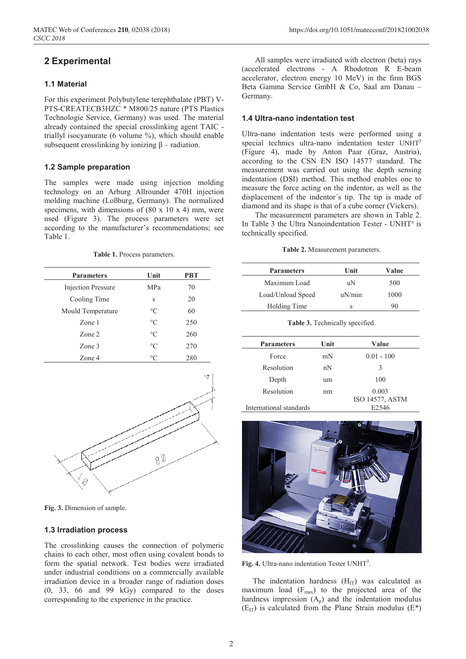# **2 Experimental**

#### **1.1 Material**

For this experiment Polybutylene terephthalate (PBT) V-PTS-CREATECB3HZC \* M800/25 nature (PTS Plastics Technologie Service, Germany) was used. The material already contained the special crosslinking agent TAIC triallyl isocyanurate (6 volume %), which should enable subsequent crosslinking by ionizing  $\beta$  – radiation.

#### **1.2 Sample preparation**

The samples were made using injection molding technology on an Arburg Allrounder 470H injection molding machine (Loßburg, Germany). The normalized specimens, with dimensions of  $(80 \times 10 \times 4)$  mm, were used (Figure 3). The process parameters were set according to the manufacturer's recommendations; see Table 1.

**Table 1.** Process parameters.

| <b>Parameters</b>         | Unit            | PBT |
|---------------------------|-----------------|-----|
| <b>Injection Pressure</b> | MPa             | 70  |
| Cooling Time              | S               | 20  |
| Mould Temperature         | $\rm ^{\circ}C$ | 60  |
| Zone 1                    | $\rm ^{\circ}C$ | 250 |
| Zone 2                    | $\rm ^{\circ}C$ | 260 |
| Zone 3                    | $\rm ^{\circ}C$ | 270 |
| Zone 4                    | $\circ$ C       | 280 |



**Fig. 3.** Dimension of sample.

#### **1.3 Irradiation process**

The crosslinking causes the connection of polymeric chains to each other, most often using covalent bonds to form the spatial network. Test bodies were irradiated under industrial conditions on a commercially available irradiation device in a broader range of radiation doses (0, 33, 66 and 99 kGy) compared to the doses corresponding to the experience in the practice.

All samples were irradiated with electron (beta) rays (accelerated electrons - A Rhodotron R E-beam accelerator, electron energy 10 MeV) in the firm BGS Beta Gamma Service GmbH & Co, Saal am Danau – Germany.

#### **1.4 Ultra-nano indentation test**

Ultra-nano indentation tests were performed using a special technics ultra-nano indentation tester UNHT<sup>3</sup> (Figure 4), made by Anton Paar (Graz, Austria), according to the CSN EN ISO 14577 standard. The measurement was carried out using the depth sensing indentation (DSI) method. This method enables one to measure the force acting on the indentor, as well as the displacement of the indentor´s tip. The tip is made of diamond and its shape is that of a cube corner (Vickers).

The measurement parameters are shown in Table 2. In Table 3 the Ultra Nanoindentation Tester - UNHT<sup>3</sup> is technically specified.

**Table 2.** Measurement parameters.

| <b>Parameters</b> | Unit   | Value |
|-------------------|--------|-------|
| Maximum Load      | uΝ     | 500   |
| Load/Unload Speed | uN/min | 1000  |
| Holding Time      | S      | 90    |

**Table 3.** Technically specified.

| <b>Parameters</b>       | Unit | Value           |
|-------------------------|------|-----------------|
| Force                   | mN   | $0.01 - 100$    |
| Resolution              | nN   | 3               |
| Depth                   | um   | 100             |
| Resolution              | nm   | 0.003           |
|                         |      | ISO 14577, ASTM |
| International standards |      | E2546           |



Fig. 4. Ultra-nano indentation Tester UNHT<sup>3</sup>.

The indentation hardness  $(H_{IT})$  was calculated as maximum load  $(F_{\text{max}})$  to the projected area of the hardness impression  $(A_n)$  and the indentation modulus  $(E_{IT})$  is calculated from the Plane Strain modulus  $(E^*)$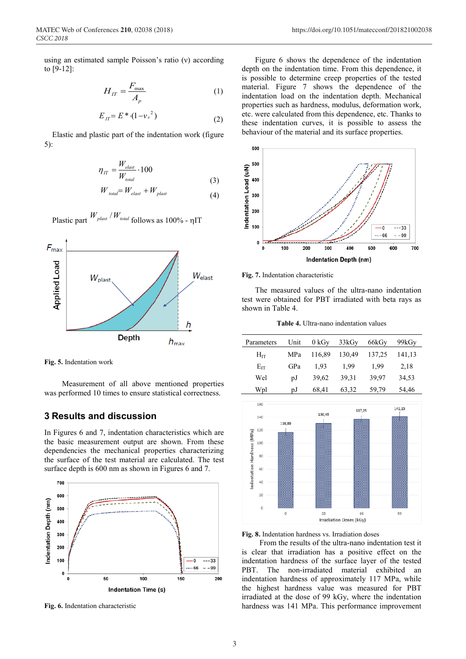using an estimated sample Poisson's ratio (ν) according to [9-12]:

$$
H_{IT} = \frac{F_{\text{max}}}{A_p} \tag{1}
$$

$$
E_{IT} = E^* \cdot (1 - {\nu_s}^2) \tag{2}
$$

Elastic and plastic part of the indentation work (figure 5):

$$
\eta_{IT} = \frac{W_{elast}}{W_{total}} \cdot 100
$$
\n(3)

$$
W_{total} = W_{elast} + W_{plast}
$$
\n<sup>(4)</sup>



Plastic part  $W_{\text{plast}} / W_{\text{total}}$  follows as 100% - ηIT

**Fig. 5.** Indentation work

Measurement of all above mentioned properties was performed 10 times to ensure statistical correctness.

## **3 Results and discussion**

In Figures 6 and 7, indentation characteristics which are the basic measurement output are shown. From these dependencies the mechanical properties characterizing the surface of the test material are calculated. The test surface depth is 600 nm as shown in Figures 6 and 7.



**Fig. 6.** Indentation characteristic

Figure 6 shows the dependence of the indentation depth on the indentation time. From this dependence, it is possible to determine creep properties of the tested material. Figure 7 shows the dependence of the indentation load on the indentation depth. Mechanical properties such as hardness, modulus, deformation work, etc. were calculated from this dependence, etc. Thanks to these indentation curves, it is possible to assess the behaviour of the material and its surface properties.



#### **Fig. 7.** Indentation characteristic

The measured values of the ultra-nano indentation test were obtained for PBT irradiated with beta rays as shown in Table 4.

**Table 4.** Ultra-nano indentation values

| Parameters | Unit | 0 kGv  | 33kGy  | 66kGy  | 99kGy  |
|------------|------|--------|--------|--------|--------|
| $H_{IT}$   | MPa  | 116,89 | 130,49 | 137,25 | 141,13 |
| $E_{IT}$   | GPa  | 1.93   | 1.99   | 1.99   | 2,18   |
| Wel        | υJ   | 39.62  | 39,31  | 39,97  | 34,53  |
| Wpl        | рJ   | 68,41  | 63,32  | 59,79  | 54,46  |



**Fig. 8.** Indentation hardness vs. Irradiation doses

From the results of the ultra-nano indentation test it is clear that irradiation has a positive effect on the indentation hardness of the surface layer of the tested PBT. The non-irradiated material exhibited an indentation hardness of approximately 117 MPa, while the highest hardness value was measured for PBT irradiated at the dose of 99 kGy, where the indentation hardness was 141 MPa. This performance improvement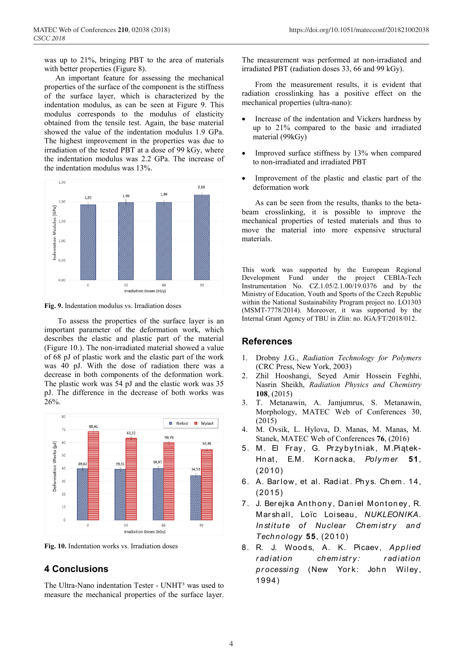was up to 21%, bringing PBT to the area of materials with better properties (Figure 8).

An important feature for assessing the mechanical properties of the surface of the component is the stiffness of the surface layer, which is characterized by the indentation modulus, as can be seen at Figure 9. This modulus corresponds to the modulus of elasticity obtained from the tensile test. Again, the base material showed the value of the indentation modulus 1.9 GPa. The highest improvement in the properties was due to irradiation of the tested PBT at a dose of 99 kGy, where the indentation modulus was 2.2 GPa. The increase of the indentation modulus was 13%.



**Fig. 9.** Indentation modulus vs. Irradiation doses

To assess the properties of the surface layer is an important parameter of the deformation work, which describes the elastic and plastic part of the material (Figure 10.). The non-irradiated material showed a value of 68 pJ of plastic work and the elastic part of the work was 40 pJ. With the dose of radiation there was a decrease in both components of the deformation work. The plastic work was 54 pJ and the elastic work was 35 pJ. The difference in the decrease of both works was 26%.



**Fig. 10.** Indentation works vs. Irradiation doses

## **4 Conclusions**

The Ultra-Nano indentation Tester - UNHT<sup>3</sup> was used to measure the mechanical properties of the surface layer.

The measurement was performed at non-irradiated and irradiated PBT (radiation doses 33, 66 and 99 kGy).

From the measurement results, it is evident that radiation crosslinking has a positive effect on the mechanical properties (ultra-nano):

- Increase of the indentation and Vickers hardness by up to 21% compared to the basic and irradiated material (99kGy)
- Improved surface stiffness by 13% when compared to non-irradiated and irradiated PBT
- Improvement of the plastic and elastic part of the deformation work

As can be seen from the results, thanks to the betabeam crosslinking, it is possible to improve the mechanical properties of tested materials and thus to move the material into more expensive structural materials.

This work was supported by the European Regional Development Fund under the project CEBIA-Tech Instrumentation No. CZ.1.05/2.1.00/19.0376 and by the Ministry of Education, Youth and Sports of the Czech Republic within the National Sustainability Program project no. LO1303 (MSMT-7778/2014). Moreover, it was supported by the Internal Grant Agency of TBU in Zlin: no. IGA/FT/2018/012.

#### **References**

- 1. Drobny J.G., *Radiation Technology for Polymers* (CRC Press, New York, 2003)
- 2. Zhil Hooshangi, Seyed Amir Hossein Feghhi, Nasrin Sheikh, *Radiation Physics and Chemistry* **108**, (2015)
- 3. T. Metanawin, A. Jamjumrus, S. Metanawin, Morphology, MATEC Web of Conferences 30, (2015)
- 4. M. Ovsik, L. Hylova, D. Manas, M. Manas, M. Stanek, MATEC Web of Conferences **76**, (2016)
- 5. M. El Fray, G. Przybytniak, M.Piątek-Hnat, E.M. Kornacka, *Polymer* 51, (2010)
- 6. A. Barlow, et al. Radiat. Phys. Chem. 14, (2015)
- 7. J. Berejka Anthony, Daniel Montoney, R. M ar sh all, Loïc Loiseau, *NUKLEONIKA. Institute of Nuclear Chemistry and Technology* **55**, (2010)
- 8. R. J. Wood s, A. K. Picaev, *Applied*  r adiation chemistry: radiation processing (New York: John Wiley, 1994)